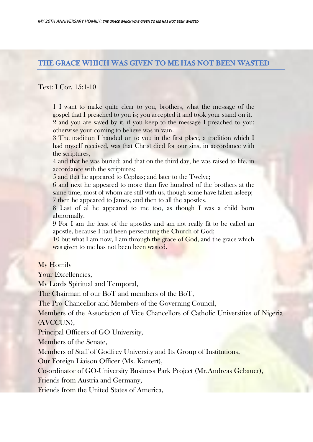## THE GRACE WHICH WAS GIVEN TO ME HAS NOT BEEN WASTED

## Text: I Cor. 15:1-10

1 I want to make quite clear to you, brothers, what the message of the gospel that I preached to you is; you accepted it and took your stand on it, 2 and you are saved by it, if you keep to the message I preached to you; otherwise your coming to believe was in vain.

3 The tradition I handed on to you in the first place, a tradition which I had myself received, was that Christ died for our sins, in accordance with the scriptures,

4 and that he was buried; and that on the third day, he was raised to life, in accordance with the scriptures;

5 and that he appeared to Cephas; and later to the Twelve;

6 and next he appeared to more than five hundred of the brothers at the same time, most of whom are still with us, though some have fallen asleep; 7 then he appeared to James, and then to all the apostles.

8 Last of al he appeared to me too, as though I was a child born abnormally.

9 For I am the least of the apostles and am not really fit to be called an apostle, because I had been persecuting the Church of God;

10 but what I am now, I am through the grace of God, and the grace which was given to me has not been been wasted.

## My Homily

Your Excellencies,

My Lords Spiritual and Temporal,

The Chairman of our BoT and members of the BoT,

The Pro Chancellor and Members of the Governing Council,

Members of the Association of Vice Chancellors of Catholic Universities of Nigeria (AVCCUN),

Principal Officers of GO University,

Members of the Senate,

Members of Staff of Godfrey University and Its Group of Institutions,

Our Foreign Liaison Officer (Ms. Kantert),

Co-ordinator of GO-University Business Park Project (Mr.Andreas Gebauer),

Friends from Austria and Germany,

Friends from the United States of America,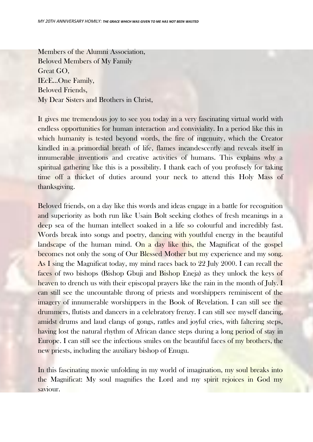Members of the Alumni Association, Beloved Members of My Family Great GO, IEcE…One Family, Beloved Friends, My Dear Sisters and Brothers in Christ,

It gives me tremendous joy to see you today in a very fascinating virtual world with endless opportunities for human interaction and conviviality. In a period like this in which humanity is tested beyond words, the fire of ingenuity, which the Creator kindled in a primordial breath of life, flames incandescently and reveals itself in innumerable inventions and creative activities of humans. This explains why a spiritual gathering like this is a possibility. I thank each of you profusely for taking time off a thicket of duties around your neck to attend this Holy Mass of thanksgiving.

Beloved friends, on a day like this words and ideas engage in a battle for recognition and superiority as both run like Usain Bolt seeking clothes of fresh meanings in a deep sea of the human intellect soaked in a life so colourful and incredibly fast. Words break into songs and poetry, dancing with youthful energy in the beautiful landscape of the human mind. On a day like this, the Magnificat of the gospel becomes not only the song of Our Blessed Mother but my experience and my song. As I sing the Magnificat today, my mind races back to 22 July 2000. I can recall the faces of two bishops (Bishop Gbuji and Bishop Eneja) as they unlock the keys of heaven to drench us with their episcopal prayers like the rain in the month of July. I can still see the uncountable throng of priests and worshippers reminiscent of the imagery of innumerable worshippers in the Book of Revelation. I can still see the drummers, flutists and dancers in a celebratory frenzy. I can still see myself dancing, amidst drums and laud clangs of gongs, rattles and joyful cries, with faltering steps, having lost the natural rhythm of African dance steps during a long period of stay in Europe. I can still see the infectious smiles on the beautiful faces of my brothers, the new priests, including the auxiliary bishop of Enugu.

In this fascinating movie unfolding in my world of imagination, my soul breaks into the Magnificat: My soul magnifies the Lord and my spirit rejoices in God my saviour.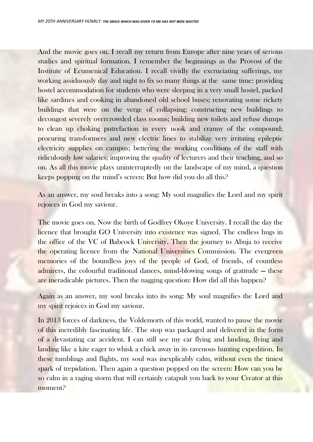And the movie goes on. I recall my return from Europe after nine years of serious studies and spiritual formation. I remember the beginnings as the Provost of the Institute of Ecumenical Education. I recall vividly the excruciating sufferings, my working assiduously day and night to fix so many things at the same time: providing hostel accommodation for students who were sleeping in a very small hostel, packed like sardines and cooking in abandoned old school buses; renovating some rickety buildings that were on the verge of collapsing; constructing new buildings to decongest severely overcrowded class rooms; building new toilets and refuse dumps to clean up choking putrefaction in every nook and cranny of the compound; procuring transformers and new electric lines to stabilize very irritating epileptic electricity supplies on campus; bettering the working conditions of the staff with ridiculously low salaries; improving the quality of lecturers and their teaching, and so on. As all this movie plays uninterruptedly on the landscape of my mind, a question keeps popping on the mind's screen: But how did you do all this?

As an answer, my soul breaks into a song: My soul magnifies the Lord and my spirit rejoices in God my saviour.

The movie goes on. Now the birth of Godfrey Okoye University. I recall the day the licence that brought GO University into existence was signed. The endless hugs in the office of the VC of Babcock University. Then the journey to Abuja to receive the operating licence from the National Universities Commission. The evergreen memories of the boundless joys of the people of God, of friends, of countless admirers, the colourful traditional dances, mind-blowing songs of gratitude — these are ineradicable pictures. Then the nagging question: How did all this happen?

Again as an answer, my soul breaks into its song: My soul magnifies the Lord and my spirit rejoices in God my saviour.

In 2013 forces of darkness, the Voldemorts of this world, wanted to pause the movie of this incredibly fascinating life. The stop was packaged and delivered in the form of a devastating car accident. I can still see my car flying and landing, flying and landing like a kite eager to whisk a chick away in its ravenous hunting expedition. In these tumblings and flights, my soul was inexplicably calm, without even the tiniest spark of trepidation. Then again a question popped on the screen: How can you be so calm in a raging storm that will certainly catapult you back to your Creator at this moment?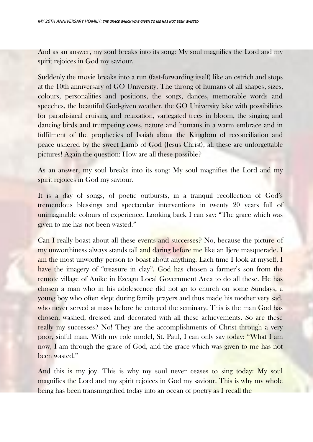And as an answer, my soul breaks into its song: My soul magnifies the Lord and my spirit rejoices in God my saviour.

Suddenly the movie breaks into a run (fast-forwarding itself) like an ostrich and stops at the 10th anniversary of GO University. The throng of humans of all shapes, sizes, colours, personalities and positions, the songs, dances, memorable words and speeches, the beautiful God-given weather, the GO University lake with possibilities for paradisiacal cruising and relaxation, variegated trees in bloom, the singing and dancing birds and trumpeting cows, nature and humans in a warm embrace and in fulfilment of the prophecies of Isaiah about the Kingdom of reconciliation and peace ushered by the sweet Lamb of God (Jesus Christ), all these are unforgettable pictures! Again the question: How are all these possible?

As an answer, my soul breaks into its song: My soul magnifies the Lord and my spirit rejoices in God my saviour.

It is a day of songs, of poetic outbursts, in a tranquil recollection of God's tremendous blessings and spectacular interventions in twenty 20 years full of unimaginable colours of experience. Looking back I can say: "The grace which was given to me has not been wasted."

Can I really boast about all these events and successes? No, because the picture of my unworthiness always stands tall and daring before me like an Ijere masquerade. I am the most unworthy person to boast about anything. Each time I look at myself, I have the imagery of "treasure in clay". God has chosen a farmer's son from the remote village of Anike in Ezeagu Local Government Area to do all these. He has chosen a man who in his adolescence did not go to church on some Sundays, a young boy who often slept during family prayers and thus made his mother very sad, who never served at mass before he entered the seminary. This is the man God has chosen, washed, dressed and decorated with all these achievements. So are these really my successes? No! They are the accomplishments of Christ through a very poor, sinful man. With my role model, St. Paul, I can only say today: "What I am now, I am through the grace of God, and the grace which was given to me has not been wasted."

And this is my joy. This is why my soul never ceases to sing today: My soul magnifies the Lord and my spirit rejoices in God my saviour. This is why my whole being has been transmogrified today into an ocean of poetry as I recall the